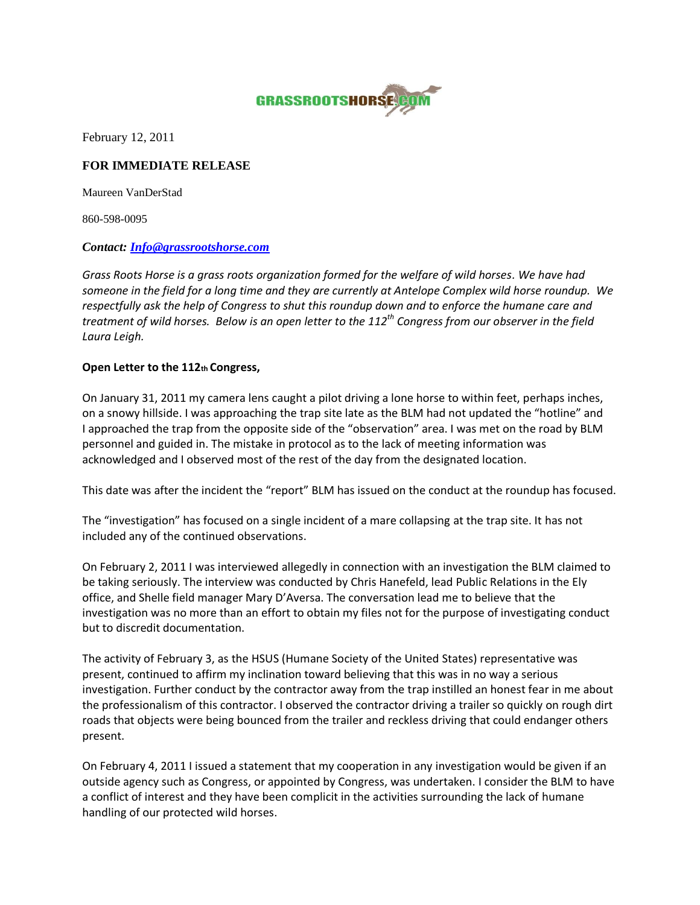

February 12, 2011

## **FOR IMMEDIATE RELEASE**

Maureen VanDerStad

860-598-0095

## *Contact: [Info@grassrootshorse.com](mailto:Info@grassrootshorse.com)*

*Grass Roots Horse is a grass roots organization formed for the welfare of wild horses. We have had someone in the field for a long time and they are currently at Antelope Complex wild horse roundup. We respectfully ask the help of Congress to shut this roundup down and to enforce the humane care and treatment of wild horses. Below is an open letter to the 112th Congress from our observer in the field Laura Leigh.* 

## **Open Letter to the 112th Congress,**

On January 31, 2011 my camera lens caught a pilot driving a lone horse to within feet, perhaps inches, on a snowy hillside. I was approaching the trap site late as the BLM had not updated the "hotline" and I approached the trap from the opposite side of the "observation" area. I was met on the road by BLM personnel and guided in. The mistake in protocol as to the lack of meeting information was acknowledged and I observed most of the rest of the day from the designated location.

This date was after the incident the "report" BLM has issued on the conduct at the roundup has focused.

The "investigation" has focused on a single incident of a mare collapsing at the trap site. It has not included any of the continued observations.

On February 2, 2011 I was interviewed allegedly in connection with an investigation the BLM claimed to be taking seriously. The interview was conducted by Chris Hanefeld, lead Public Relations in the Ely office, and Shelle field manager Mary D'Aversa. The conversation lead me to believe that the investigation was no more than an effort to obtain my files not for the purpose of investigating conduct but to discredit documentation.

The activity of February 3, as the HSUS (Humane Society of the United States) representative was present, continued to affirm my inclination toward believing that this was in no way a serious investigation. Further conduct by the contractor away from the trap instilled an honest fear in me about the professionalism of this contractor. I observed the contractor driving a trailer so quickly on rough dirt roads that objects were being bounced from the trailer and reckless driving that could endanger others present.

On February 4, 2011 I issued a statement that my cooperation in any investigation would be given if an outside agency such as Congress, or appointed by Congress, was undertaken. I consider the BLM to have a conflict of interest and they have been complicit in the activities surrounding the lack of humane handling of our protected wild horses.